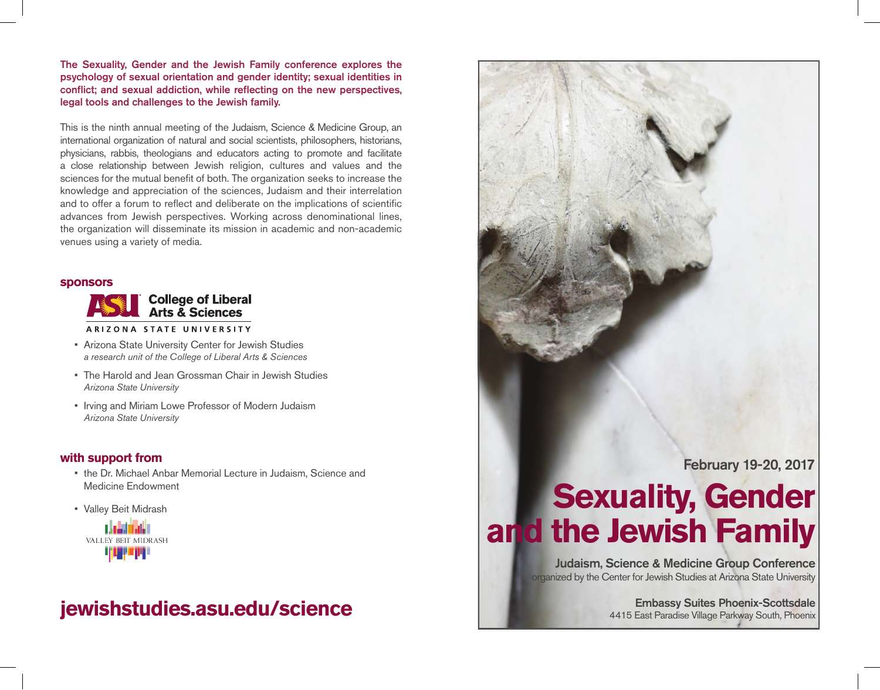The Sexuality, Gender and the Jewish Family conference explores the psychology of sexual orientation and gender identity; sexual identities in conflict; and sexual addiction, while reflecting on the new perspectives, legal tools and challenges to the Jewish family.

This is the ninth annual meeting of the Judaism, Science & Medicine Group, an international organization of natural and social scientists, philosophers, historians, physicians, rabbis, theologians and educators acting to promote and facilitate a close relationship between Jewish religion, cultures and values and the sciences for the mutual benefit of both. The organization seeks to increase the knowledge and appreciation of the sciences, Judaism and their interrelation and to offer a forum to reflect and deliberate on the implications of scientific advances from Jewish perspectives. Working across denominational lines, the organization will disseminate its mission in academic and non-academic venues using a variety of media.

#### **sponsors**



• Arizona State University Center for Jewish Studies

- *a research unit of the College of Liberal Arts & Sciences*
- The Harold and Jean Grossman Chair in Jewish Studies *Arizona State University*
- Irving and Miriam Lowe Professor of Modern Judaism *Arizona State University*

### **with support from**

- the Dr. Michael Anbar Memorial Lecture in Judaism, Science and Medicine Endowment
- • Valley Beit Midrash



# **jewishstudies.asu.edu/science**



Embassy Suites Phoenix-Scottsdale 4415 East Paradise Village Parkway South, Phoenix